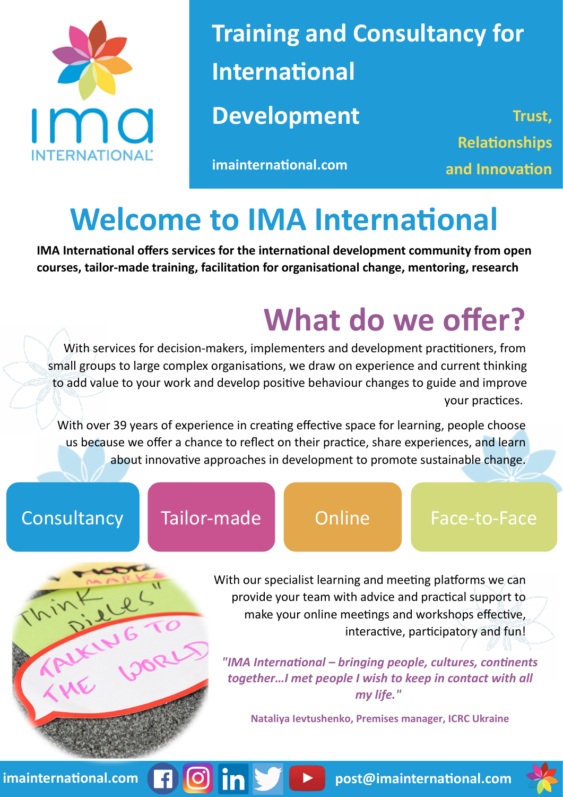

**Training and Consultancy for International Development** Trust,

**imainternational.com and Innovation**

**Relationships** 

### **Welcome to IMA International**

**IMA International offers services for the international development community from open courses, tailor-made training, facilitation for organisational change, mentoring, research** 

### **What do we offer?**

With services for decision-makers, implementers and development practitioners, from small groups to large complex organisations, we draw on experience and current thinking to add value to your work and develop positive behaviour changes to guide and improve your practices.

With over 39 years of experience in creating effective space for learning, people choose us because we offer a chance to reflect on their practice, share experiences, and learn about innovative approaches in development to promote sustainable change.

### Consultancy Tailor-made Online Face-to-Face

7 0 in !



With our specialist learning and meeting platforms we can provide your team with advice and practical support to make your online meetings and workshops effective, interactive, participatory and fun!

*"IMA International – bringing people, cultures, continents together…I met people I wish to keep in contact with all my life."*

**Nataliya Ievtushenko, Premises manager, ICRC Ukraine**